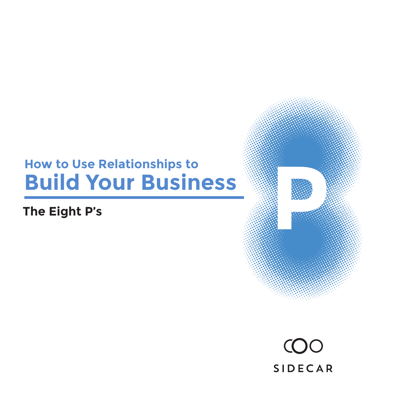#### **How to Use Relationships to Build Your Business**

#### **The Eight P's**



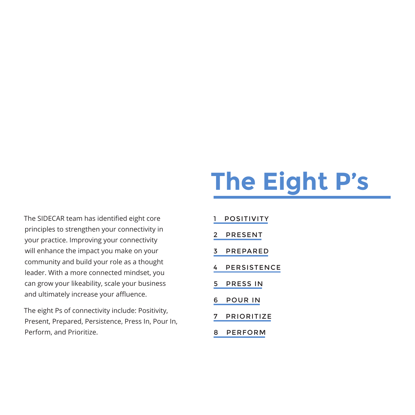#### **The Eight P's**

The SIDECAR team has identified eight core principles to strengthen your connectivity in your practice. Improving your connectivity will enhance the impact you make on your community and build your role as a thought leader. With a more connected mindset, you can grow your likeability, scale your business and ultimately increase your affluence.

The eight Ps of connectivity include: Positivity, Present, Prepared, Persistence, Press In, Pour In, Perform, and Prioritize.

- [1 POSITIVITY](#page-2-0)
- [2 PRESENT](#page-3-0)
- [3 PREPARED](#page-4-0)
- [4 PERSISTENCE](#page-5-0)
- [5 PRESS IN](#page-6-0)
- [6 POUR IN](#page-7-0)
- [7 PRIORITIZE](#page-8-0)
- [8 PERFORM](#page-9-0)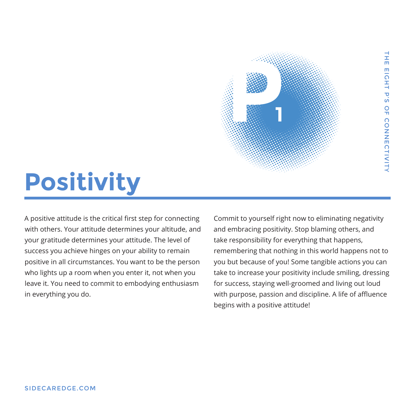## <span id="page-2-0"></span>**Positivity**

A positive attitude is the critical first step for connecting with others. Your attitude determines your altitude, and your gratitude determines your attitude. The level of success you achieve hinges on your ability to remain positive in all circumstances. You want to be the person who lights up a room when you enter it, not when you leave it. You need to commit to embodying enthusiasm in everything you do.

Commit to yourself right now to eliminating negativity and embracing positivity. Stop blaming others, and take responsibility for everything that happens, remembering that nothing in this world happens not to you but because of you! Some tangible actions you can take to increase your positivity include smiling, dressing for success, staying well-groomed and living out loud with purpose, passion and discipline. A life of affluence begins with a positive attitude!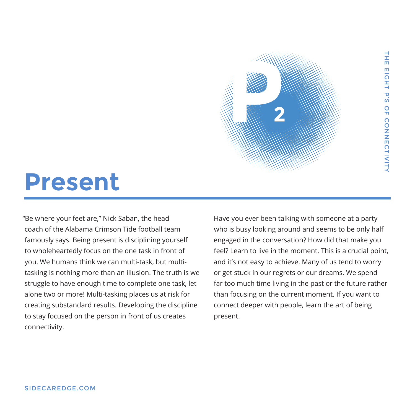<span id="page-3-0"></span>

"Be where your feet are," Nick Saban, the head coach of the Alabama Crimson Tide football team famously says. Being present is disciplining yourself to wholeheartedly focus on the one task in front of you. We humans think we can multi-task, but multitasking is nothing more than an illusion. The truth is we struggle to have enough time to complete one task, let alone two or more! Multi-tasking places us at risk for creating substandard results. Developing the discipline to stay focused on the person in front of us creates connectivity.

Have you ever been talking with someone at a party who is busy looking around and seems to be only half engaged in the conversation? How did that make you feel? Learn to live in the moment. This is a crucial point, and it's not easy to achieve. Many of us tend to worry or get stuck in our regrets or our dreams. We spend far too much time living in the past or the future rather than focusing on the current moment. If you want to connect deeper with people, learn the art of being present.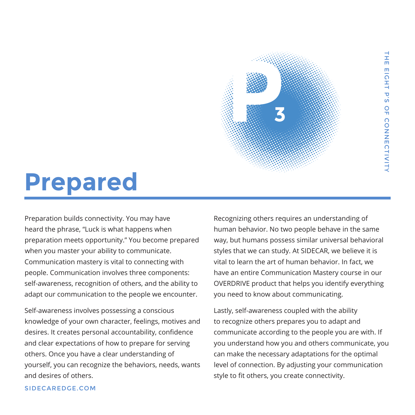### <span id="page-4-0"></span>**Prepared**

Preparation builds connectivity. You may have heard the phrase, "Luck is what happens when preparation meets opportunity." You become prepared when you master your ability to communicate. Communication mastery is vital to connecting with people. Communication involves three components: self-awareness, recognition of others, and the ability to adapt our communication to the people we encounter.

Self-awareness involves possessing a conscious knowledge of your own character, feelings, motives and desires. It creates personal accountability, confidence and clear expectations of how to prepare for serving others. Once you have a clear understanding of yourself, you can recognize the behaviors, needs, wants and desires of others.

Recognizing others requires an understanding of human behavior. No two people behave in the same way, but humans possess similar universal behavioral styles that we can study. At SIDECAR, we believe it is vital to learn the art of human behavior. In fact, we have an entire Communication Mastery course in our OVERDRIVE product that helps you identify everything you need to know about communicating.

**3**

Lastly, self-awareness coupled with the ability to recognize others prepares you to adapt and communicate according to the people you are with. If you understand how you and others communicate, you can make the necessary adaptations for the optimal level of connection. By adjusting your communication style to fit others, you create connectivity.

#### [SIDECAREDGE.COM](http://sidecaredge.com)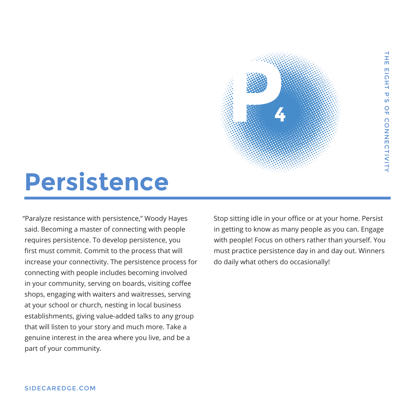### <span id="page-5-0"></span>**Persistence**

"Paralyze resistance with persistence," Woody Hayes said. Becoming a master of connecting with people requires persistence. To develop persistence, you first must commit. Commit to the process that will increase your connectivity. The persistence process for connecting with people includes becoming involved in your community, serving on boards, visiting coffee shops, engaging with waiters and waitresses, serving at your school or church, nesting in local business establishments, giving value-added talks to any group that will listen to your story and much more. Take a genuine interest in the area where you live, and be a part of your community.

Stop sitting idle in your office or at your home. Persist in getting to know as many people as you can. Engage with people! Focus on others rather than yourself. You must practice persistence day in and day out. Winners do daily what others do occasionally!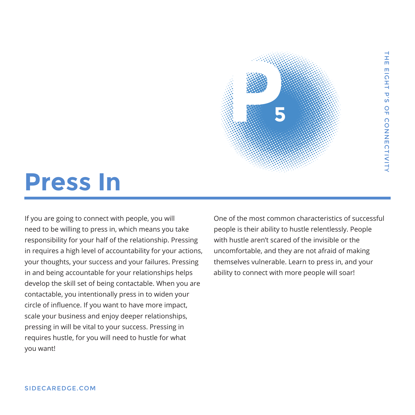

#### <span id="page-6-0"></span>**Press In**

If you are going to connect with people, you will need to be willing to press in, which means you take responsibility for your half of the relationship. Pressing in requires a high level of accountability for your actions, your thoughts, your success and your failures. Pressing in and being accountable for your relationships helps develop the skill set of being contactable. When you are contactable, you intentionally press in to widen your circle of influence. If you want to have more impact, scale your business and enjoy deeper relationships, pressing in will be vital to your success. Pressing in requires hustle, for you will need to hustle for what you want!

One of the most common characteristics of successful people is their ability to hustle relentlessly. People with hustle aren't scared of the invisible or the uncomfortable, and they are not afraid of making themselves vulnerable. Learn to press in, and your ability to connect with more people will soar!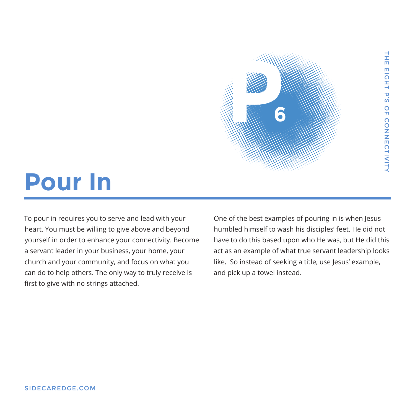<span id="page-7-0"></span>

To pour in requires you to serve and lead with your heart. You must be willing to give above and beyond yourself in order to enhance your connectivity. Become a servant leader in your business, your home, your church and your community, and focus on what you can do to help others. The only way to truly receive is first to give with no strings attached.

One of the best examples of pouring in is when Jesus humbled himself to wash his disciples' feet. He did not have to do this based upon who He was, but He did this act as an example of what true servant leadership looks like. So instead of seeking a title, use Jesus' example, and pick up a towel instead.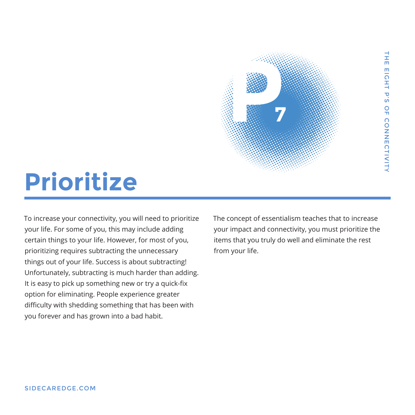<span id="page-8-0"></span>

To increase your connectivity, you will need to prioritize your life. For some of you, this may include adding certain things to your life. However, for most of you, prioritizing requires subtracting the unnecessary things out of your life. Success is about subtracting! Unfortunately, subtracting is much harder than adding. It is easy to pick up something new or try a quick-fix option for eliminating. People experience greater difficulty with shedding something that has been with you forever and has grown into a bad habit.

The concept of essentialism teaches that to increase your impact and connectivity, you must prioritize the items that you truly do well and eliminate the rest from your life.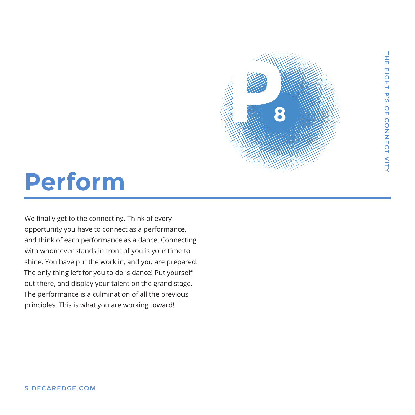**8**

### <span id="page-9-0"></span>**Perform**

We finally get to the connecting. Think of every opportunity you have to connect as a performance, and think of each performance as a dance. Connecting with whomever stands in front of you is your time to shine. You have put the work in, and you are prepared. The only thing left for you to do is dance! Put yourself out there, and display your talent on the grand stage. The performance is a culmination of all the previous principles. This is what you are working toward!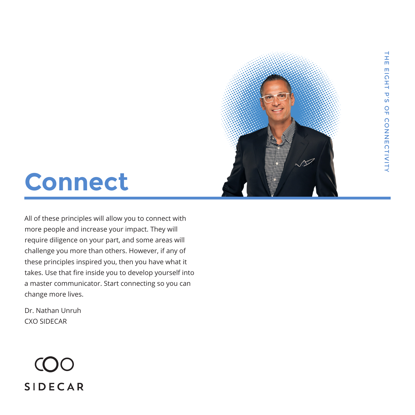## **Connect**

All of these principles will allow you to connect with more people and increase your impact. They will require diligence on your part, and some areas will challenge you more than others. However, if any of these principles inspired you, then you have what it takes. Use that fire inside you to develop yourself into a master communicator. Start connecting so you can change more lives.

Dr. Nathan Unruh CXO SIDECAR

# **SIDECAR**